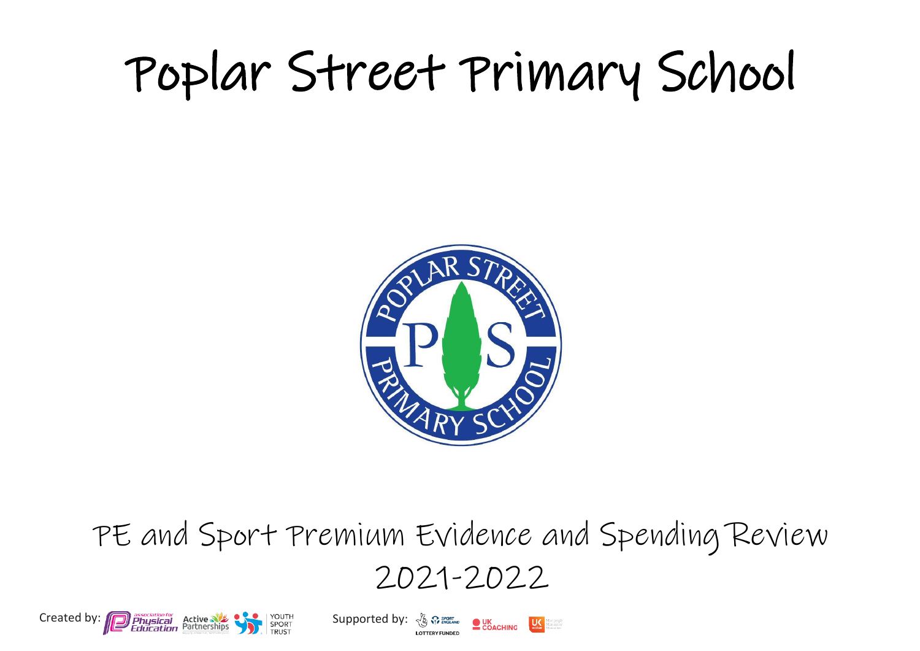## Poplar Street Primary School



PE and Sport Premium Evidence and Spending Review 2021-2022



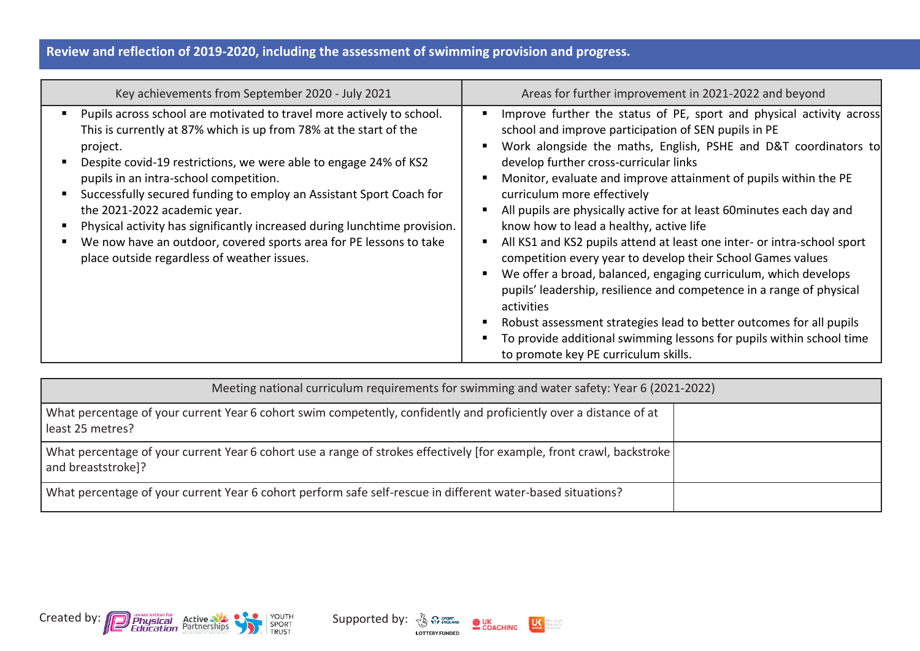## **Review and reflection of 2019-2020, including the assessment of swimming provision and progress.**

| Key achievements from September 2020 - July 2021                                                                                                                                                                                                                                                                                                                                                                                                                                                                                                                                          | Areas for further improvement in 2021-2022 and beyond                                                                                                                                                                                                                                                                                                                                                                                                                                                                                                                                                                                                                                                                                                                                                                                                                                                                                                      |
|-------------------------------------------------------------------------------------------------------------------------------------------------------------------------------------------------------------------------------------------------------------------------------------------------------------------------------------------------------------------------------------------------------------------------------------------------------------------------------------------------------------------------------------------------------------------------------------------|------------------------------------------------------------------------------------------------------------------------------------------------------------------------------------------------------------------------------------------------------------------------------------------------------------------------------------------------------------------------------------------------------------------------------------------------------------------------------------------------------------------------------------------------------------------------------------------------------------------------------------------------------------------------------------------------------------------------------------------------------------------------------------------------------------------------------------------------------------------------------------------------------------------------------------------------------------|
| Pupils across school are motivated to travel more actively to school.<br>This is currently at 87% which is up from 78% at the start of the<br>project.<br>Despite covid-19 restrictions, we were able to engage 24% of KS2<br>pupils in an intra-school competition.<br>Successfully secured funding to employ an Assistant Sport Coach for<br>the 2021-2022 academic year.<br>Physical activity has significantly increased during lunchtime provision.<br>п.<br>We now have an outdoor, covered sports area for PE lessons to take<br>п,<br>place outside regardless of weather issues. | Improve further the status of PE, sport and physical activity across<br>school and improve participation of SEN pupils in PE<br>Work alongside the maths, English, PSHE and D&T coordinators to<br>develop further cross-curricular links<br>Monitor, evaluate and improve attainment of pupils within the PE<br>curriculum more effectively<br>All pupils are physically active for at least 60 minutes each day and<br>know how to lead a healthy, active life<br>All KS1 and KS2 pupils attend at least one inter- or intra-school sport<br>competition every year to develop their School Games values<br>We offer a broad, balanced, engaging curriculum, which develops<br>pupils' leadership, resilience and competence in a range of physical<br>activities<br>Robust assessment strategies lead to better outcomes for all pupils<br>To provide additional swimming lessons for pupils within school time<br>to promote key PE curriculum skills. |

| Meeting national curriculum requirements for swimming and water safety: Year 6 (2021-2022)                                                    |  |
|-----------------------------------------------------------------------------------------------------------------------------------------------|--|
| What percentage of your current Year 6 cohort swim competently, confidently and proficiently over a distance of at<br>least 25 metres?        |  |
| What percentage of your current Year 6 cohort use a range of strokes effectively [for example, front crawl, backstroke]<br>and breaststroke]? |  |
| What percentage of your current Year 6 cohort perform safe self-rescue in different water-based situations?                                   |  |



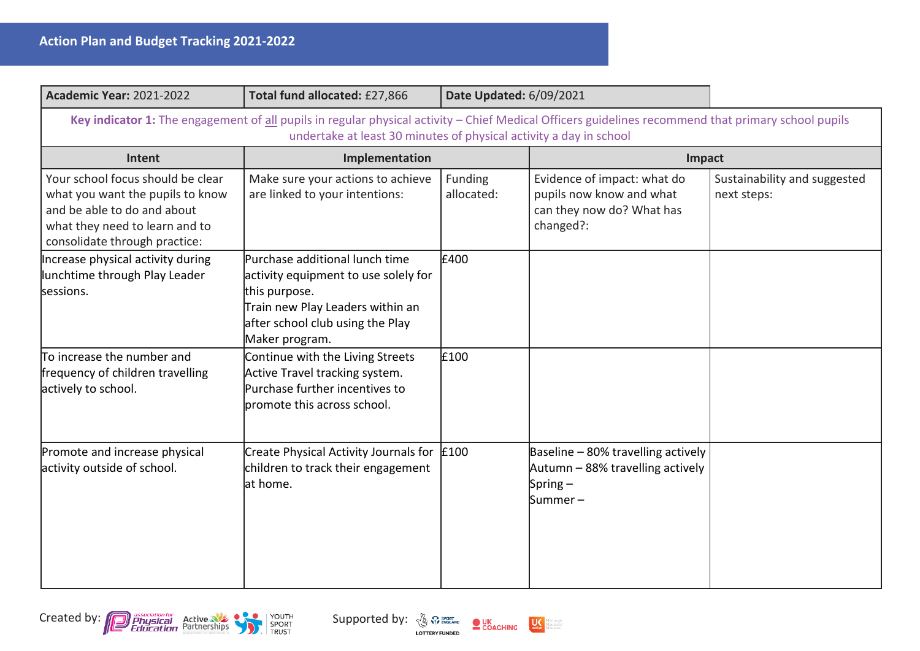| <b>Academic Year: 2021-2022</b>                                                                                                                                                                                           | Total fund allocated: £27,866                                                                                                                                                     | <b>Date Updated: 6/09/2021</b> |                                                                                                   |                                             |
|---------------------------------------------------------------------------------------------------------------------------------------------------------------------------------------------------------------------------|-----------------------------------------------------------------------------------------------------------------------------------------------------------------------------------|--------------------------------|---------------------------------------------------------------------------------------------------|---------------------------------------------|
| Key indicator 1: The engagement of all pupils in regular physical activity - Chief Medical Officers guidelines recommend that primary school pupils<br>undertake at least 30 minutes of physical activity a day in school |                                                                                                                                                                                   |                                |                                                                                                   |                                             |
| Intent                                                                                                                                                                                                                    | Implementation                                                                                                                                                                    |                                | Impact                                                                                            |                                             |
| Your school focus should be clear<br>what you want the pupils to know<br>and be able to do and about<br>what they need to learn and to<br>consolidate through practice:                                                   | Make sure your actions to achieve<br>are linked to your intentions:                                                                                                               | Funding<br>allocated:          | Evidence of impact: what do<br>pupils now know and what<br>can they now do? What has<br>changed?: | Sustainability and suggested<br>next steps: |
| Increase physical activity during<br>lunchtime through Play Leader<br>sessions.                                                                                                                                           | Purchase additional lunch time<br>activity equipment to use solely for<br>this purpose.<br>Train new Play Leaders within an<br>after school club using the Play<br>Maker program. | £400                           |                                                                                                   |                                             |
| $\overline{\pi}$ o increase the number and<br>frequency of children travelling<br>actively to school.                                                                                                                     | Continue with the Living Streets<br>Active Travel tracking system.<br>Purchase further incentives to<br>promote this across school.                                               | £100                           |                                                                                                   |                                             |
| Promote and increase physical<br>activity outside of school.                                                                                                                                                              | Create Physical Activity Journals for $\vert$ £100<br>children to track their engagement<br>at home.                                                                              |                                | Baseline - 80% travelling actively<br>Autumn – 88% travelling actively<br>Spring $-$<br>Summer –  |                                             |



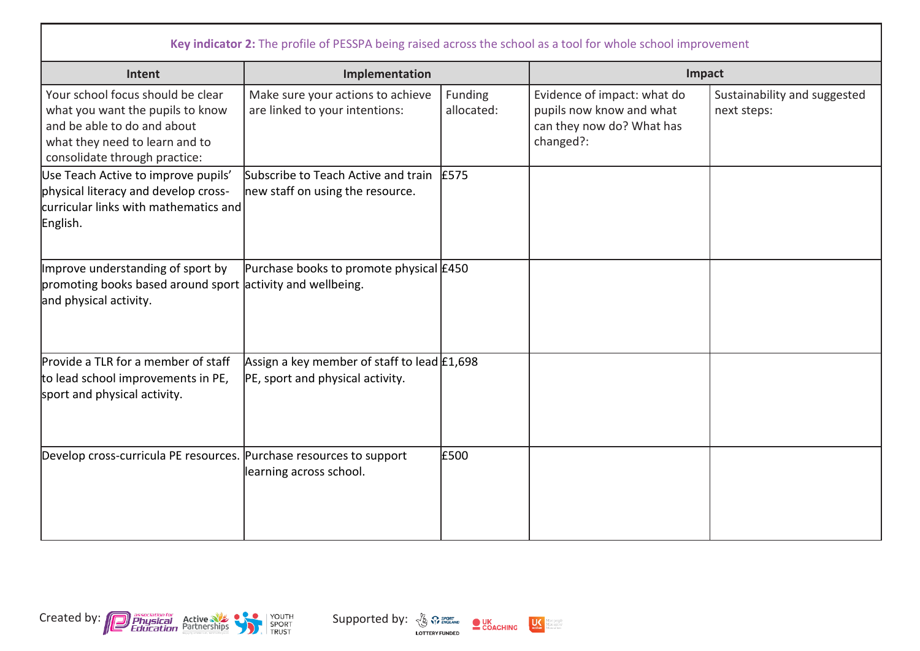| Key indicator 2: The profile of PESSPA being raised across the school as a tool for whole school improvement                                                            |                                                                                   |                       |                                                                                                   |                                             |
|-------------------------------------------------------------------------------------------------------------------------------------------------------------------------|-----------------------------------------------------------------------------------|-----------------------|---------------------------------------------------------------------------------------------------|---------------------------------------------|
| Intent                                                                                                                                                                  | Implementation                                                                    |                       | Impact                                                                                            |                                             |
| Your school focus should be clear<br>what you want the pupils to know<br>and be able to do and about<br>what they need to learn and to<br>consolidate through practice: | Make sure your actions to achieve<br>are linked to your intentions:               | Funding<br>allocated: | Evidence of impact: what do<br>pupils now know and what<br>can they now do? What has<br>changed?: | Sustainability and suggested<br>next steps: |
| Use Teach Active to improve pupils'<br>physical literacy and develop cross-<br>curricular links with mathematics and<br>English.                                        | Subscribe to Teach Active and train<br>new staff on using the resource.           | £575                  |                                                                                                   |                                             |
| Improve understanding of sport by<br>promoting books based around sport activity and wellbeing.<br>and physical activity.                                               | Purchase books to promote physical £450                                           |                       |                                                                                                   |                                             |
| Provide a TLR for a member of staff<br>to lead school improvements in PE,<br>sport and physical activity.                                                               | Assign a key member of staff to lead $£1,698$<br>PE, sport and physical activity. |                       |                                                                                                   |                                             |
| Develop cross-curricula PE resources. Purchase resources to support                                                                                                     | learning across school.                                                           | £500                  |                                                                                                   |                                             |



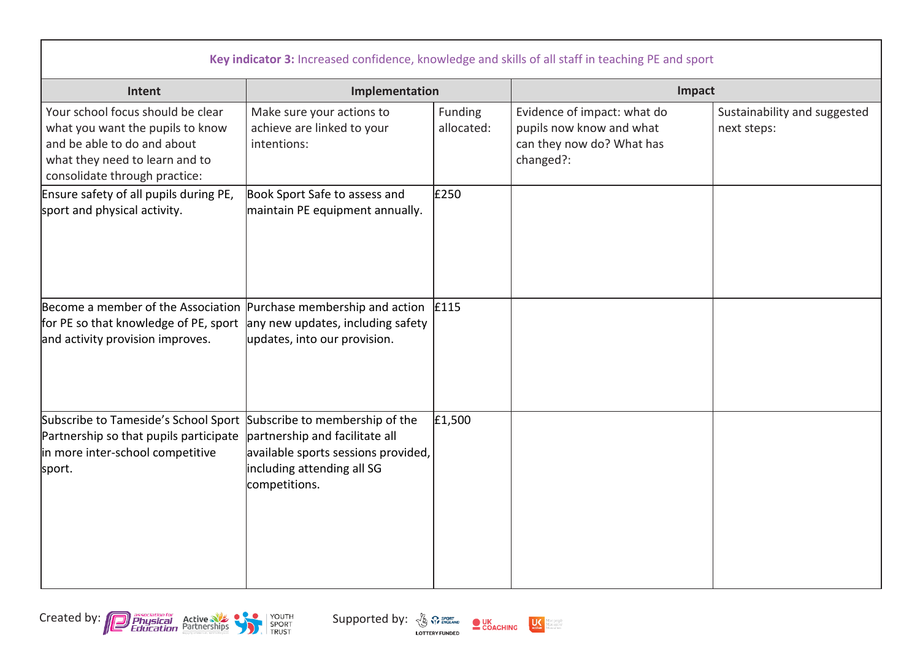| Key indicator 3: Increased confidence, knowledge and skills of all staff in teaching PE and sport                                                                       |                                                                                                                      |                       |                                                                                                   |                                             |
|-------------------------------------------------------------------------------------------------------------------------------------------------------------------------|----------------------------------------------------------------------------------------------------------------------|-----------------------|---------------------------------------------------------------------------------------------------|---------------------------------------------|
| Intent                                                                                                                                                                  | Implementation                                                                                                       |                       | Impact                                                                                            |                                             |
| Your school focus should be clear<br>what you want the pupils to know<br>and be able to do and about<br>what they need to learn and to<br>consolidate through practice: | Make sure your actions to<br>achieve are linked to your<br>intentions:                                               | Funding<br>allocated: | Evidence of impact: what do<br>pupils now know and what<br>can they now do? What has<br>changed?: | Sustainability and suggested<br>next steps: |
| Ensure safety of all pupils during PE,<br>sport and physical activity.                                                                                                  | Book Sport Safe to assess and<br>maintain PE equipment annually.                                                     | £250                  |                                                                                                   |                                             |
| Become a member of the Association Purchase membership and action<br>for PE so that knowledge of PE, sport<br>and activity provision improves.                          | any new updates, including safety<br>updates, into our provision.                                                    | £115                  |                                                                                                   |                                             |
| Subscribe to Tameside's School Sport Subscribe to membership of the<br>Partnership so that pupils participate<br>in more inter-school competitive<br>sport.             | partnership and facilitate all<br>available sports sessions provided,<br>including attending all SG<br>competitions. | £1,500                |                                                                                                   |                                             |



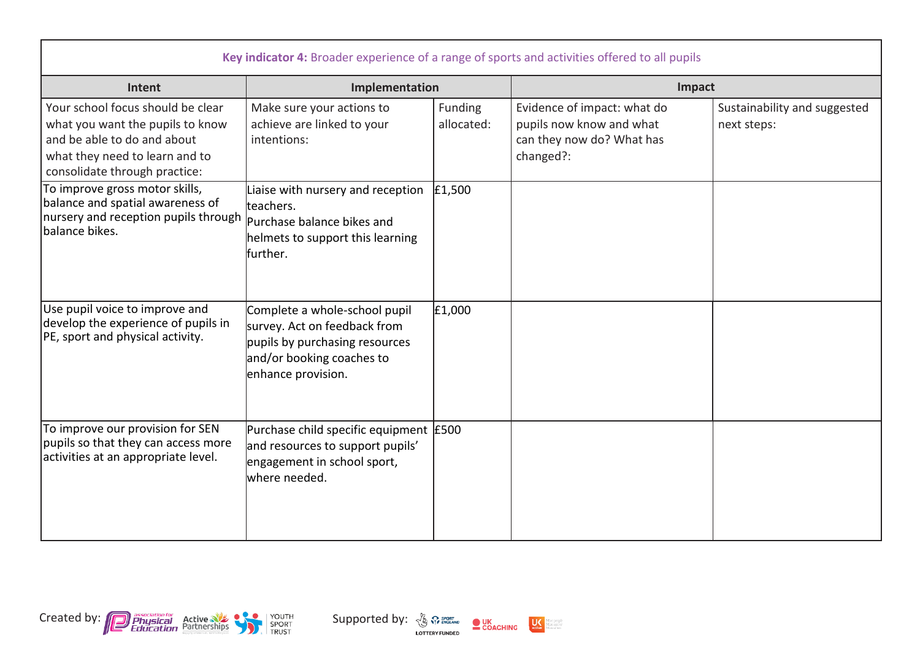| Key indicator 4: Broader experience of a range of sports and activities offered to all pupils                                                                           |                                                                                                                                                    |                       |                                                                                                   |                                             |
|-------------------------------------------------------------------------------------------------------------------------------------------------------------------------|----------------------------------------------------------------------------------------------------------------------------------------------------|-----------------------|---------------------------------------------------------------------------------------------------|---------------------------------------------|
| Intent                                                                                                                                                                  | Implementation                                                                                                                                     |                       | Impact                                                                                            |                                             |
| Your school focus should be clear<br>what you want the pupils to know<br>and be able to do and about<br>what they need to learn and to<br>consolidate through practice: | Make sure your actions to<br>achieve are linked to your<br>intentions:                                                                             | Funding<br>allocated: | Evidence of impact: what do<br>pupils now know and what<br>can they now do? What has<br>changed?: | Sustainability and suggested<br>next steps: |
| To improve gross motor skills,<br>balance and spatial awareness of<br>nursery and reception pupils through<br>lbalance bikes.                                           | Liaise with nursery and reception<br>teachers.<br>Purchase balance bikes and<br>helmets to support this learning<br>further.                       | £1,500                |                                                                                                   |                                             |
| Use pupil voice to improve and<br>develop the experience of pupils in<br>PE, sport and physical activity.                                                               | Complete a whole-school pupil<br>survey. Act on feedback from<br>pupils by purchasing resources<br>and/or booking coaches to<br>enhance provision. | £1,000                |                                                                                                   |                                             |
| To improve our provision for SEN<br>pupils so that they can access more<br>activities at an appropriate level.                                                          | Purchase child specific equipment E500<br>and resources to support pupils'<br>engagement in school sport,<br>where needed.                         |                       |                                                                                                   |                                             |



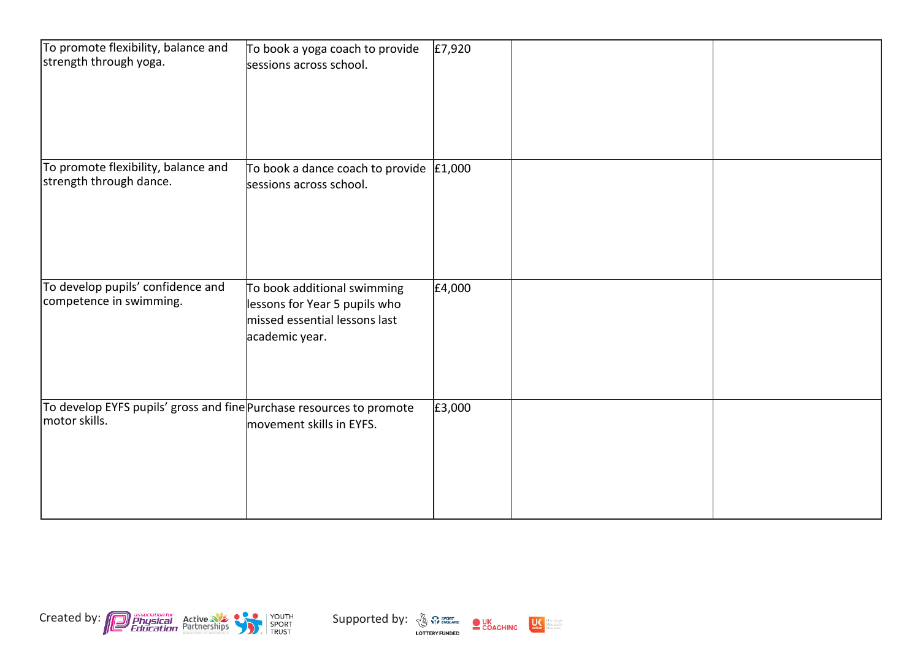| To promote flexibility, balance and<br>strength through yoga.                         | To book a yoga coach to provide<br>sessions across school.                                                      | E7,920 |  |
|---------------------------------------------------------------------------------------|-----------------------------------------------------------------------------------------------------------------|--------|--|
| To promote flexibility, balance and<br>strength through dance.                        | To book a dance coach to provide $ £1,000 $<br>sessions across school.                                          |        |  |
| To develop pupils' confidence and<br>competence in swimming.                          | To book additional swimming<br>lessons for Year 5 pupils who<br>missed essential lessons last<br>academic year. | £4,000 |  |
| To develop EYFS pupils' gross and fine Purchase resources to promote<br>motor skills. | movement skills in EYFS.                                                                                        | £3,000 |  |



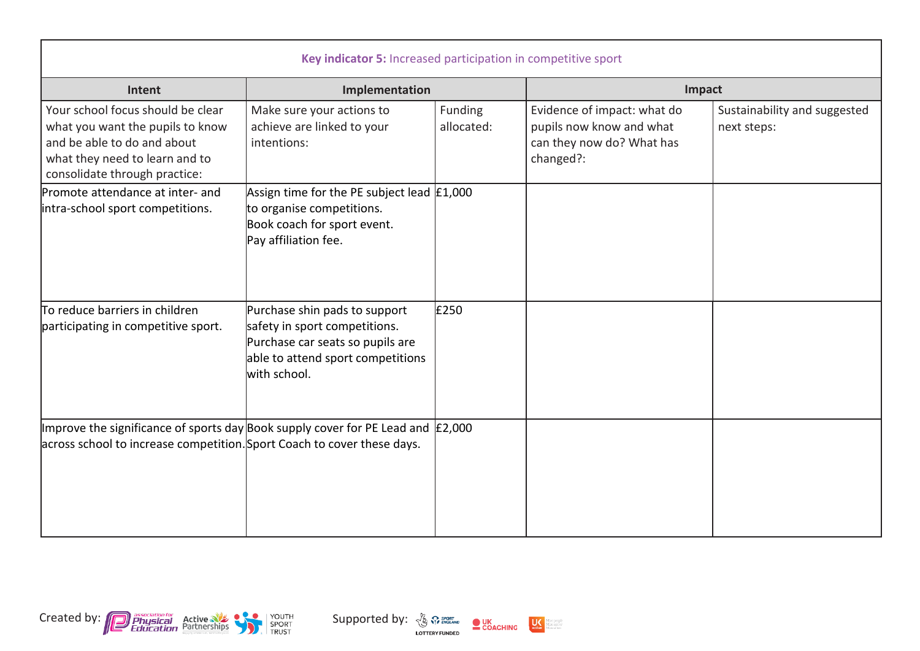| Key indicator 5: Increased participation in competitive sport                                                                                                           |                                                                                                                                                         |                       |                                                                                                   |                                             |  |
|-------------------------------------------------------------------------------------------------------------------------------------------------------------------------|---------------------------------------------------------------------------------------------------------------------------------------------------------|-----------------------|---------------------------------------------------------------------------------------------------|---------------------------------------------|--|
| Intent<br>Implementation                                                                                                                                                |                                                                                                                                                         |                       | Impact                                                                                            |                                             |  |
| Your school focus should be clear<br>what you want the pupils to know<br>and be able to do and about<br>what they need to learn and to<br>consolidate through practice: | Make sure your actions to<br>achieve are linked to your<br>intentions:                                                                                  | Funding<br>allocated: | Evidence of impact: what do<br>pupils now know and what<br>can they now do? What has<br>changed?: | Sustainability and suggested<br>next steps: |  |
| Promote attendance at inter- and<br>intra-school sport competitions.                                                                                                    | Assign time for the PE subject lead £1,000<br>to organise competitions.<br>Book coach for sport event.<br>Pay affiliation fee.                          |                       |                                                                                                   |                                             |  |
| To reduce barriers in children<br>participating in competitive sport.                                                                                                   | Purchase shin pads to support<br>safety in sport competitions.<br>Purchase car seats so pupils are<br>able to attend sport competitions<br>with school. | £250                  |                                                                                                   |                                             |  |
| Improve the significance of sports day Book supply cover for PE Lead and $\vert$ £2,000<br>across school to increase competition. Sport Coach to cover these days.      |                                                                                                                                                         |                       |                                                                                                   |                                             |  |